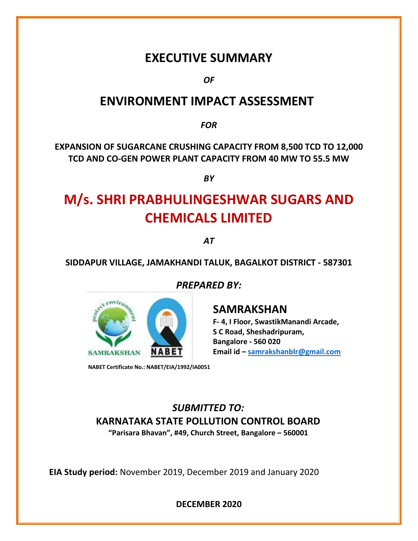## **EXECUTIVE SUMMARY**

*OF* 

### **ENVIRONMENT IMPACT ASSESSMENT**

*FOR*

**EXPANSION OF SUGARCANE CRUSHING CAPACITY FROM 8,500 TCD TO 12,000 TCD AND CO-GEN POWER PLANT CAPACITY FROM 40 MW TO 55.5 MW**

*BY*

# **M/s. SHRI PRABHULINGESHWAR SUGARS AND CHEMICALS LIMITED**

*AT*

#### **SIDDAPUR VILLAGE, JAMAKHANDI TALUK, BAGALKOT DISTRICT - 587301**

*PREPARED BY:*



 **NABET Certificate No.: NABET/EIA/1992/IA0051**

### **SAMRAKSHAN**

**F- 4, I Floor, SwastikManandi Arcade, S C Road, Sheshadripuram, Bangalore - 560 020 Email id – [samrakshanblr@gmail.com](mailto:samrakshanblr@gmail.com)**

*SUBMITTED TO:* **KARNATAKA STATE POLLUTION CONTROL BOARD**

**"Parisara Bhavan", #49, Church Street, Bangalore – 560001**

**EIA Study period:** November 2019, December 2019 and January 2020

**DECEMBER 2020**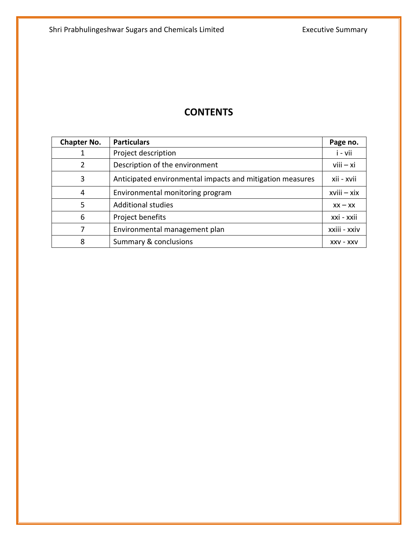### **CONTENTS**

| <b>Chapter No.</b> | <b>Particulars</b>                                        | Page no.         |
|--------------------|-----------------------------------------------------------|------------------|
|                    | Project description                                       | i - vii          |
| $\overline{2}$     | Description of the environment                            | $viii - xi$      |
| 3                  | Anticipated environmental impacts and mitigation measures | xii - xvii       |
| 4                  | Environmental monitoring program                          | $x$ viii $-x$ ix |
| 5                  | <b>Additional studies</b>                                 | $XX - XX$        |
| 6                  | Project benefits                                          | xxi - xxii       |
|                    | Environmental management plan                             | xxiii - xxiv     |
| 8                  | Summary & conclusions                                     | $XXV - XXV$      |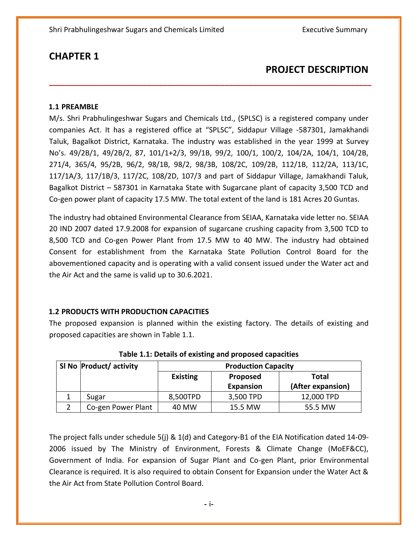### **PROJECT DESCRIPTION**

#### **1.1 PREAMBLE**

M/s. Shri Prabhulingeshwar Sugars and Chemicals Ltd., (SPLSC) is a registered company under companies Act. It has a registered office at "SPLSC", Siddapur Village -587301, Jamakhandi Taluk, Bagalkot District, Karnataka. The industry was established in the year 1999 at Survey No's. 49/2B/1, 49/2B/2, 87, 101/1+2/3, 99/1B, 99/2, 100/1, 100/2, 104/2A, 104/1, 104/2B, 271/4, 365/4, 95/2B, 96/2, 98/1B, 98/2, 98/3B, 108/2C, 109/2B, 112/1B, 112/2A, 113/1C, 117/1A/3, 117/1B/3, 117/2C, 108/2D, 107/3 and part of Siddapur Village, Jamakhandi Taluk, Bagalkot District – 587301 in Karnataka State with Sugarcane plant of capacity 3,500 TCD and Co-gen power plant of capacity 17.5 MW. The total extent of the land is 181 Acres 20 Guntas.

**\_\_\_\_\_\_\_\_\_\_\_\_\_\_\_\_\_\_\_\_\_\_\_\_\_\_\_\_\_\_\_\_\_\_\_\_\_\_\_\_\_\_\_\_\_\_\_\_\_\_\_\_\_\_\_\_\_\_\_\_\_\_\_\_\_\_\_\_\_\_\_\_\_\_\_\_\_\_\_**

The industry had obtained Environmental Clearance from SEIAA, Karnataka vide letter no. SEIAA 20 IND 2007 dated 17.9.2008 for expansion of sugarcane crushing capacity from 3,500 TCD to 8,500 TCD and Co-gen Power Plant from 17.5 MW to 40 MW. The industry had obtained Consent for establishment from the Karnataka State Pollution Control Board for the abovementioned capacity and is operating with a valid consent issued under the Water act and the Air Act and the same is valid up to 30.6.2021.

#### **1.2 PRODUCTS WITH PRODUCTION CAPACITIES**

The proposed expansion is planned within the existing factory. The details of existing and proposed capacities are shown in Table 1.1.

| SI No Product/ activity | <b>Production Capacity</b> |                  |                   |
|-------------------------|----------------------------|------------------|-------------------|
|                         | <b>Existing</b>            | Proposed         | Total             |
|                         |                            | <b>Expansion</b> | (After expansion) |
| Sugar                   | 8,500TPD                   | 3,500 TPD        | 12,000 TPD        |
| Co-gen Power Plant      | 40 MW                      | 15.5 MW          | 55.5 MW           |

**Table 1.1: Details of existing and proposed capacities**

The project falls under schedule 5(j) & 1(d) and Category-B1 of the EIA Notification dated 14-09- 2006 issued by The Ministry of Environment, Forests & Climate Change (MoEF&CC), Government of India. For expansion of Sugar Plant and Co-gen Plant, prior Environmental Clearance is required. It is also required to obtain Consent for Expansion under the Water Act & the Air Act from State Pollution Control Board.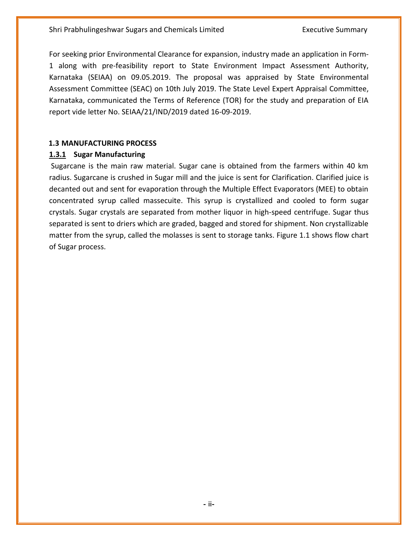For seeking prior Environmental Clearance for expansion, industry made an application in Form-1 along with pre-feasibility report to State Environment Impact Assessment Authority, Karnataka (SEIAA) on 09.05.2019. The proposal was appraised by State Environmental Assessment Committee (SEAC) on 10th July 2019. The State Level Expert Appraisal Committee, Karnataka, communicated the Terms of Reference (TOR) for the study and preparation of EIA report vide letter No. SEIAA/21/IND/2019 dated 16-09-2019.

#### **1.3 MANUFACTURING PROCESS**

#### **1.3.1 Sugar Manufacturing**

Sugarcane is the main raw material. Sugar cane is obtained from the farmers within 40 km radius. Sugarcane is crushed in Sugar mill and the juice is sent for Clarification. Clarified juice is decanted out and sent for evaporation through the Multiple Effect Evaporators (MEE) to obtain concentrated syrup called massecuite. This syrup is crystallized and cooled to form sugar crystals. Sugar crystals are separated from mother liquor in high-speed centrifuge. Sugar thus separated is sent to driers which are graded, bagged and stored for shipment. Non crystallizable matter from the syrup, called the molasses is sent to storage tanks. Figure 1.1 shows flow chart of Sugar process.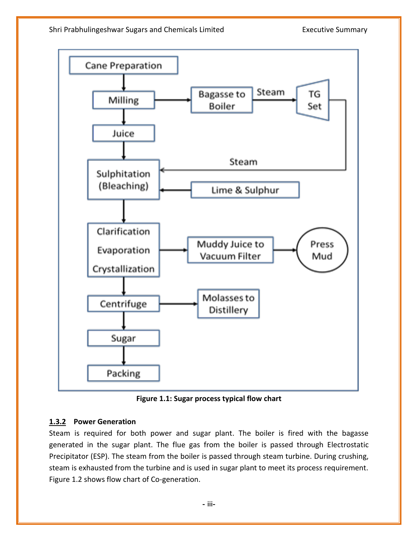

**Figure 1.1: Sugar process typical flow chart**

#### **1.3.2 Power Generation**

Steam is required for both power and sugar plant. The boiler is fired with the bagasse generated in the sugar plant. The flue gas from the boiler is passed through Electrostatic Precipitator (ESP). The steam from the boiler is passed through steam turbine. During crushing, steam is exhausted from the turbine and is used in sugar plant to meet its process requirement. Figure 1.2 shows flow chart of Co-generation.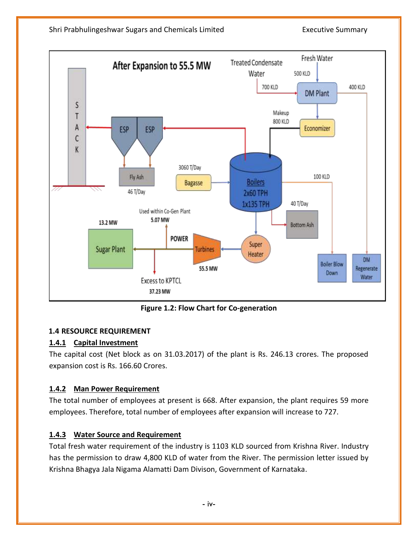

**Figure 1.2: Flow Chart for Co-generation**

#### **1.4 RESOURCE REQUIREMENT**

#### **1.4.1 Capital Investment**

The capital cost (Net block as on 31.03.2017) of the plant is Rs. 246.13 crores. The proposed expansion cost is Rs. 166.60 Crores.

#### **1.4.2 Man Power Requirement**

The total number of employees at present is 668. After expansion, the plant requires 59 more employees. Therefore, total number of employees after expansion will increase to 727.

#### **1.4.3 Water Source and Requirement**

Total fresh water requirement of the industry is 1103 KLD sourced from Krishna River. Industry has the permission to draw 4,800 KLD of water from the River. The permission letter issued by Krishna Bhagya Jala Nigama Alamatti Dam Divison, Government of Karnataka.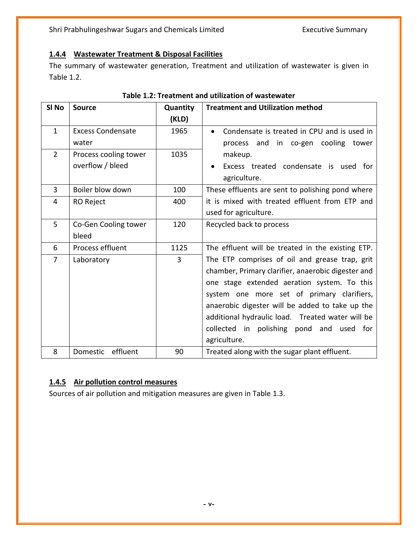#### **1.4.4 Wastewater Treatment & Disposal Facilities**

The summary of wastewater generation, Treatment and utilization of wastewater is given in Table 1.2.

| SI <sub>No</sub> | <b>Source</b>            | Quantity       | <b>Treatment and Utilization method</b>                  |  |
|------------------|--------------------------|----------------|----------------------------------------------------------|--|
|                  |                          | (KLD)          |                                                          |  |
| $\mathbf{1}$     | <b>Excess Condensate</b> | 1965           | Condensate is treated in CPU and is used in<br>$\bullet$ |  |
|                  | water                    |                | process and in co-gen cooling tower                      |  |
| $\overline{2}$   | Process cooling tower    | 1035           | makeup.                                                  |  |
|                  | overflow / bleed         |                | Excess treated condensate is used<br>for                 |  |
|                  |                          |                | agriculture.                                             |  |
| 3                | Boiler blow down         | 100            | These effluents are sent to polishing pond where         |  |
| 4                | RO Reject                | 400            | it is mixed with treated effluent from ETP and           |  |
|                  |                          |                | used for agriculture.                                    |  |
| 5                | Co-Gen Cooling tower     | 120            | Recycled back to process                                 |  |
|                  | bleed                    |                |                                                          |  |
| 6                | Process effluent         | 1125           | The effluent will be treated in the existing ETP.        |  |
| 7                | Laboratory               | $\overline{3}$ | The ETP comprises of oil and grease trap, grit           |  |
|                  |                          |                | chamber, Primary clarifier, anaerobic digester and       |  |
|                  |                          |                | one stage extended aeration system. To this              |  |
|                  |                          |                | system one more set of primary clarifiers,               |  |
|                  |                          |                | anaerobic digester will be added to take up the          |  |
|                  |                          |                | additional hydraulic load. Treated water will be         |  |
|                  |                          |                | collected in polishing pond and used for                 |  |
|                  |                          |                | agriculture.                                             |  |
| 8                | effluent<br>Domestic     | 90             | Treated along with the sugar plant effluent.             |  |

#### **Table 1.2: Treatment and utilization of wastewater**

### **1.4.5 Air pollution control measures**

Sources of air pollution and mitigation measures are given in Table 1.3.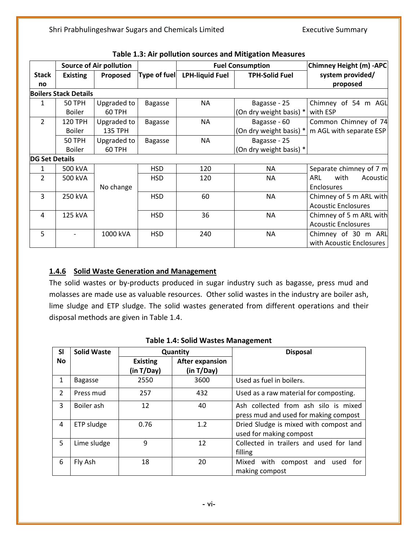|                       |                              | <b>Source of Air pollution</b> |                |                        | <b>Fuel Consumption</b> | Chimney Height (m) -APC    |
|-----------------------|------------------------------|--------------------------------|----------------|------------------------|-------------------------|----------------------------|
| <b>Stack</b>          | <b>Existing</b>              | Proposed                       | Type of fuel   | <b>LPH-liquid Fuel</b> | <b>TPH-Solid Fuel</b>   | system provided/           |
| no                    |                              |                                |                |                        |                         | proposed                   |
|                       | <b>Boilers Stack Details</b> |                                |                |                        |                         |                            |
| 1                     | 50 TPH                       | Upgraded to                    | <b>Bagasse</b> | <b>NA</b>              | Bagasse - 25            | Chimney of 54 m AGL        |
|                       | <b>Boiler</b>                | 60 TPH                         |                |                        | (On dry weight basis) * | with ESP                   |
| $\overline{2}$        | 120 TPH                      | Upgraded to                    | <b>Bagasse</b> | <b>NA</b>              | Bagasse - 60            | Common Chimney of 74       |
|                       | <b>Boiler</b>                | <b>135 TPH</b>                 |                |                        | (On dry weight basis) * | m AGL with separate ESP    |
|                       | 50 TPH                       | Upgraded to                    | <b>Bagasse</b> | <b>NA</b>              | Bagasse - 25            |                            |
|                       | <b>Boiler</b>                | 60 TPH                         |                |                        | (On dry weight basis) * |                            |
| <b>DG Set Details</b> |                              |                                |                |                        |                         |                            |
| 1                     | 500 kVA                      |                                | <b>HSD</b>     | 120                    | ΝA                      | Separate chimney of 7 m    |
| $\overline{2}$        | 500 kVA                      |                                | <b>HSD</b>     | 120                    | <b>NA</b>               | with<br>ARL<br>Acoustic    |
|                       |                              | No change                      |                |                        |                         | Enclosures                 |
| $\overline{3}$        | 250 kVA                      |                                | <b>HSD</b>     | 60                     | <b>NA</b>               | Chimney of 5 m ARL with    |
|                       |                              |                                |                |                        |                         | <b>Acoustic Enclosures</b> |
| 4                     | 125 kVA                      |                                | <b>HSD</b>     | 36                     | <b>NA</b>               | Chimney of 5 m ARL with    |
|                       |                              |                                |                |                        |                         | <b>Acoustic Enclosures</b> |
| 5                     |                              | 1000 kVA                       | <b>HSD</b>     | 240                    | ΝA                      | Chimney of 30 m ARL        |
|                       |                              |                                |                |                        |                         | with Acoustic Enclosures   |

| Table 1.3: Air pollution sources and Mitigation Measures |  |  |  |  |
|----------------------------------------------------------|--|--|--|--|
|----------------------------------------------------------|--|--|--|--|

#### **1.4.6 Solid Waste Generation and Management**

The solid wastes or by-products produced in sugar industry such as bagasse, press mud and molasses are made use as valuable resources. Other solid wastes in the industry are boiler ash, lime sludge and ETP sludge. The solid wastes generated from different operations and their disposal methods are given in Table 1.4.

| <b>SI</b>     | <b>Solid Waste</b> |                 | Quantity               | <b>Disposal</b>                                                               |
|---------------|--------------------|-----------------|------------------------|-------------------------------------------------------------------------------|
| <b>No</b>     |                    | <b>Existing</b> | <b>After expansion</b> |                                                                               |
|               |                    | (in T/Day)      | (in T/Day)             |                                                                               |
| 1             | <b>Bagasse</b>     | 2550            | 3600                   | Used as fuel in boilers.                                                      |
| $\mathcal{P}$ | Press mud          | 257             | 432                    | Used as a raw material for composting.                                        |
| 3             | Boiler ash         | 12              | 40                     | Ash collected from ash silo is mixed<br>press mud and used for making compost |
| 4             | ETP sludge         | 0.76            | 1.2                    | Dried Sludge is mixed with compost and<br>used for making compost             |
| 5             | Lime sludge        | 9               | 12                     | Collected in trailers and used for land<br>filling                            |
| 6             | Fly Ash            | 18              | 20                     | with<br>Mixed<br>compost<br>and<br>used<br>tor<br>making compost              |

#### **Table 1.4: Solid Wastes Management**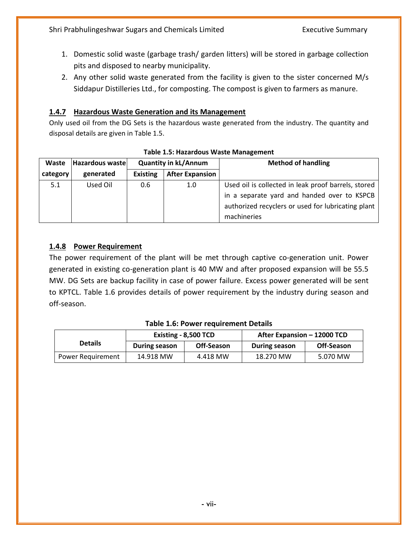- 1. Domestic solid waste (garbage trash/ garden litters) will be stored in garbage collection pits and disposed to nearby municipality.
- 2. Any other solid waste generated from the facility is given to the sister concerned M/s Siddapur Distilleries Ltd., for composting. The compost is given to farmers as manure.

#### **1.4.7 Hazardous Waste Generation and its Management**

Only used oil from the DG Sets is the hazardous waste generated from the industry. The quantity and disposal details are given in Table 1.5.

| Waste    | Hazardous waste |                 | <b>Quantity in kL/Annum</b> | <b>Method of handling</b>                           |
|----------|-----------------|-----------------|-----------------------------|-----------------------------------------------------|
| category | generated       | <b>Existing</b> | <b>After Expansion</b>      |                                                     |
| 5.1      | Used Oil        | 0.6             | 1.0                         | Used oil is collected in leak proof barrels, stored |
|          |                 |                 |                             | in a separate yard and handed over to KSPCB         |
|          |                 |                 |                             | authorized recyclers or used for lubricating plant  |
|          |                 |                 |                             | machineries                                         |

#### **Table 1.5: Hazardous Waste Management**

#### **1.4.8 Power Requirement**

The power requirement of the plant will be met through captive co-generation unit. Power generated in existing co-generation plant is 40 MW and after proposed expansion will be 55.5 MW. DG Sets are backup facility in case of power failure. Excess power generated will be sent to KPTCL. Table 1.6 provides details of power requirement by the industry during season and off-season.

|                   |               | Existing - 8,500 TCD | After Expansion - 12000 TCD |            |
|-------------------|---------------|----------------------|-----------------------------|------------|
| <b>Details</b>    | During season | Off-Season           | During season               | Off-Season |
| Power Requirement | 14.918 MW     | 4.418 MW             | 18.270 MW                   | 5.070 MW   |

#### **Table 1.6: Power requirement Details**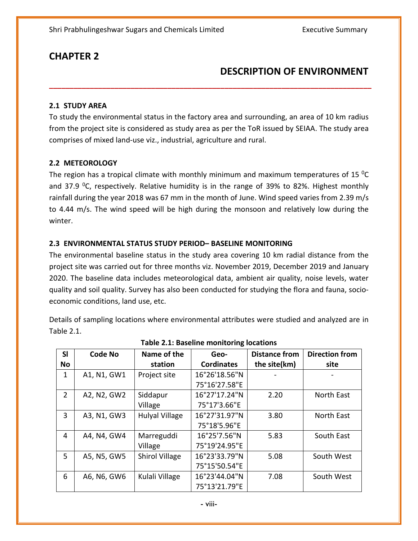### **DESCRIPTION OF ENVIRONMENT**

#### **2.1 STUDY AREA**

To study the environmental status in the factory area and surrounding, an area of 10 km radius from the project site is considered as study area as per the ToR issued by SEIAA. The study area comprises of mixed land-use viz., industrial, agriculture and rural.

**\_\_\_\_\_\_\_\_\_\_\_\_\_\_\_\_\_\_\_\_\_\_\_\_\_\_\_\_\_\_\_\_\_\_\_\_\_\_\_\_\_\_\_\_\_\_\_\_\_\_\_\_\_\_\_\_\_\_\_\_\_\_\_\_\_\_\_\_\_\_\_\_\_\_\_\_\_\_\_**

#### **2.2 METEOROLOGY**

The region has a tropical climate with monthly minimum and maximum temperatures of 15 $^{0}$ C and 37.9 <sup>o</sup>C, respectively. Relative humidity is in the range of 39% to 82%. Highest monthly rainfall during the year 2018 was 67 mm in the month of June. Wind speed varies from 2.39 m/s to 4.44 m/s. The wind speed will be high during the monsoon and relatively low during the winter.

#### **2.3 ENVIRONMENTAL STATUS STUDY PERIOD– BASELINE MONITORING**

The environmental baseline status in the study area covering 10 km radial distance from the project site was carried out for three months viz. November 2019, December 2019 and January 2020. The baseline data includes meteorological data, ambient air quality, noise levels, water quality and soil quality. Survey has also been conducted for studying the flora and fauna, socioeconomic conditions, land use, etc.

Details of sampling locations where environmental attributes were studied and analyzed are in Table 2.1.

| SI             | <b>Code No</b> | Name of the           | Geo-              | <b>Distance from</b> | <b>Direction from</b> |
|----------------|----------------|-----------------------|-------------------|----------------------|-----------------------|
| No             |                | station               | <b>Cordinates</b> | the site(km)         | site                  |
| 1              | A1, N1, GW1    | Project site          | 16°26'18.56"N     |                      |                       |
|                |                |                       | 75°16'27.58"E     |                      |                       |
| $\overline{2}$ | A2, N2, GW2    | Siddapur              | 16°27'17.24"N     | 2.20                 | North East            |
|                |                | Village               | 75°17'3.66"E      |                      |                       |
| 3              | A3, N1, GW3    | <b>Hulyal Village</b> | 16°27'31.97"N     | 3.80                 | North East            |
|                |                |                       | 75°18'5.96"E      |                      |                       |
| 4              | A4, N4, GW4    | Marreguddi            | 16°25'7.56"N      | 5.83                 | South East            |
|                |                | Village               | 75°19'24.95"E     |                      |                       |
| 5              | A5, N5, GW5    | <b>Shirol Village</b> | 16°23'33.79"N     | 5.08                 | South West            |
|                |                |                       | 75°15'50.54"E     |                      |                       |
| 6              | A6, N6, GW6    | Kulali Village        | 16°23'44.04"N     | 7.08                 | South West            |
|                |                |                       | 75°13'21.79"E     |                      |                       |

#### **Table 2.1: Baseline monitoring locations**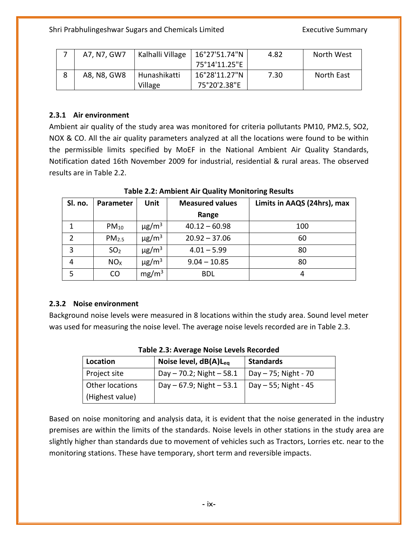| - | A7, N7, GW7 | Kalhalli Village | 16°27'51.74"N | 4.82 | North West |
|---|-------------|------------------|---------------|------|------------|
|   |             |                  | 75°14'11.25"E |      |            |
| 8 | A8, N8, GW8 | Hunashikatti     | 16°28'11.27"N | 7.30 | North East |
|   |             | Village          | 75°20'2.38"E  |      |            |

#### **2.3.1 Air environment**

Ambient air quality of the study area was monitored for criteria pollutants PM10, PM2.5, SO2, NOX & CO. All the air quality parameters analyzed at all the locations were found to be within the permissible limits specified by MoEF in the National Ambient Air Quality Standards, Notification dated 16th November 2009 for industrial, residential & rural areas. The observed results are in Table 2.2.

| Sl. no.        | Parameter         | Unit                   | <b>Measured values</b> | Limits in AAQS (24hrs), max |
|----------------|-------------------|------------------------|------------------------|-----------------------------|
|                |                   |                        | Range                  |                             |
|                | $PM_{10}$         | $\mu$ g/m <sup>3</sup> | $40.12 - 60.98$        | 100                         |
| $\overline{2}$ | PM <sub>2.5</sub> | $\mu$ g/m <sup>3</sup> | $20.92 - 37.06$        | 60                          |
| 3              | SO <sub>2</sub>   | $\mu$ g/m <sup>3</sup> | $4.01 - 5.99$          | 80                          |
| 4              | NO <sub>X</sub>   | $\mu$ g/m <sup>3</sup> | $9.04 - 10.85$         | 80                          |
| 5              | CO                | mg/m <sup>3</sup>      | <b>BDL</b>             | 4                           |

**Table 2.2: Ambient Air Quality Monitoring Results**

#### **2.3.2 Noise environment**

Background noise levels were measured in 8 locations within the study area. Sound level meter was used for measuring the noise level. The average noise levels recorded are in Table 2.3.

| Location        | Noise level, $dB(A)L_{eq}$  | <b>Standards</b>       |
|-----------------|-----------------------------|------------------------|
| Project site    | Day $-70.2$ ; Night $-58.1$ | Day $-75$ ; Night - 70 |
| Other locations | Day $-67.9$ ; Night $-53.1$ | Day $-55$ ; Night - 45 |
| (Highest value) |                             |                        |

| <b>Table 2.3: Average Noise Levels Recorded</b> |  |  |  |  |
|-------------------------------------------------|--|--|--|--|
|-------------------------------------------------|--|--|--|--|

Based on noise monitoring and analysis data, it is evident that the noise generated in the industry premises are within the limits of the standards. Noise levels in other stations in the study area are slightly higher than standards due to movement of vehicles such as Tractors, Lorries etc. near to the monitoring stations. These have temporary, short term and reversible impacts.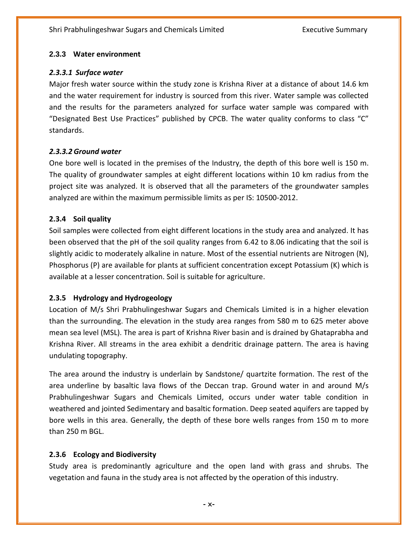#### **2.3.3 Water environment**

#### *2.3.3.1 Surface water*

Major fresh water source within the study zone is Krishna River at a distance of about 14.6 km and the water requirement for industry is sourced from this river. Water sample was collected and the results for the parameters analyzed for surface water sample was compared with "Designated Best Use Practices" published by CPCB. The water quality conforms to class "C" standards.

#### *2.3.3.2 Ground water*

One bore well is located in the premises of the Industry, the depth of this bore well is 150 m. The quality of groundwater samples at eight different locations within 10 km radius from the project site was analyzed. It is observed that all the parameters of the groundwater samples analyzed are within the maximum permissible limits as per IS: 10500-2012.

#### **2.3.4 Soil quality**

Soil samples were collected from eight different locations in the study area and analyzed. It has been observed that the pH of the soil quality ranges from 6.42 to 8.06 indicating that the soil is slightly acidic to moderately alkaline in nature. Most of the essential nutrients are Nitrogen (N), Phosphorus (P) are available for plants at sufficient concentration except Potassium (K) which is available at a lesser concentration. Soil is suitable for agriculture.

#### **2.3.5 Hydrology and Hydrogeology**

Location of M/s Shri Prabhulingeshwar Sugars and Chemicals Limited is in a higher elevation than the surrounding. The elevation in the study area ranges from 580 m to 625 meter above mean sea level (MSL). The area is part of Krishna River basin and is drained by Ghataprabha and Krishna River. All streams in the area exhibit a dendritic drainage pattern. The area is having undulating topography.

The area around the industry is underlain by Sandstone/ quartzite formation. The rest of the area underline by basaltic lava flows of the Deccan trap. Ground water in and around M/s Prabhulingeshwar Sugars and Chemicals Limited, occurs under water table condition in weathered and jointed Sedimentary and basaltic formation. Deep seated aquifers are tapped by bore wells in this area. Generally, the depth of these bore wells ranges from 150 m to more than 250 m BGL.

#### **2.3.6 Ecology and Biodiversity**

Study area is predominantly agriculture and the open land with grass and shrubs. The vegetation and fauna in the study area is not affected by the operation of this industry.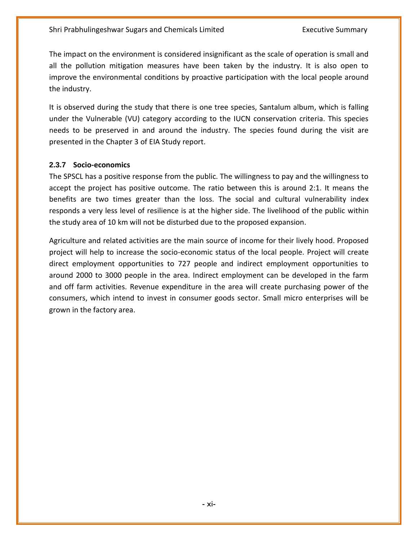The impact on the environment is considered insignificant as the scale of operation is small and all the pollution mitigation measures have been taken by the industry. It is also open to improve the environmental conditions by proactive participation with the local people around the industry.

It is observed during the study that there is one tree species, Santalum album, which is falling under the Vulnerable (VU) category according to the IUCN conservation criteria. This species needs to be preserved in and around the industry. The species found during the visit are presented in the Chapter 3 of EIA Study report.

#### **2.3.7 Socio-economics**

The SPSCL has a positive response from the public. The willingness to pay and the willingness to accept the project has positive outcome. The ratio between this is around 2:1. It means the benefits are two times greater than the loss. The social and cultural vulnerability index responds a very less level of resilience is at the higher side. The livelihood of the public within the study area of 10 km will not be disturbed due to the proposed expansion.

Agriculture and related activities are the main source of income for their lively hood. Proposed project will help to increase the socio-economic status of the local people. Project will create direct employment opportunities to 727 people and indirect employment opportunities to around 2000 to 3000 people in the area. Indirect employment can be developed in the farm and off farm activities. Revenue expenditure in the area will create purchasing power of the consumers, which intend to invest in consumer goods sector. Small micro enterprises will be grown in the factory area.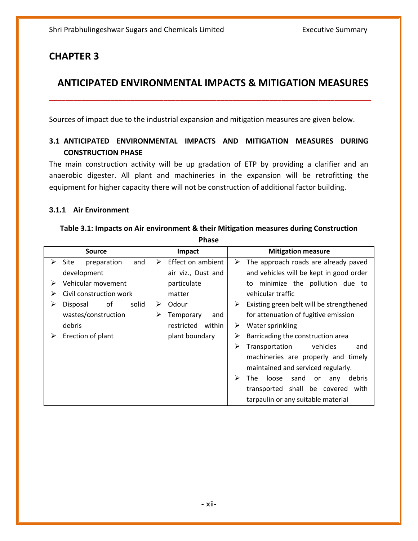### **ANTICIPATED ENVIRONMENTAL IMPACTS & MITIGATION MEASURES**

**\_\_\_\_\_\_\_\_\_\_\_\_\_\_\_\_\_\_\_\_\_\_\_\_\_\_\_\_\_\_\_\_\_\_\_\_\_\_\_\_\_\_\_\_\_\_\_\_\_\_\_\_\_\_\_\_\_\_\_\_\_\_\_\_\_\_\_\_\_\_\_\_\_\_\_\_\_\_\_**

Sources of impact due to the industrial expansion and mitigation measures are given below.

#### **3.1 ANTICIPATED ENVIRONMENTAL IMPACTS AND MITIGATION MEASURES DURING CONSTRUCTION PHASE**

The main construction activity will be up gradation of ETP by providing a clarifier and an anaerobic digester. All plant and machineries in the expansion will be retrofitting the equipment for higher capacity there will not be construction of additional factor building.

#### **3.1.1 Air Environment**

|   | rnase                      |                        |                                                  |  |  |  |
|---|----------------------------|------------------------|--------------------------------------------------|--|--|--|
|   | <b>Source</b>              | Impact                 | <b>Mitigation measure</b>                        |  |  |  |
| ⋗ | preparation<br>and<br>Site | Effect on ambient<br>➤ | The approach roads are already paved<br>➤        |  |  |  |
|   | development                | air viz., Dust and     | and vehicles will be kept in good order          |  |  |  |
| ➤ | Vehicular movement         | particulate            | minimize the pollution due to<br>to              |  |  |  |
| ⋗ | Civil construction work    | matter                 | vehicular traffic                                |  |  |  |
| ➤ | solid<br>οf<br>Disposal    | Odour<br>➤             | Existing green belt will be strengthened<br>➤    |  |  |  |
|   | wastes/construction        | ⋗<br>Temporary<br>and  | for attenuation of fugitive emission             |  |  |  |
|   | debris                     | restricted<br>within   | Water sprinkling<br>➤                            |  |  |  |
| ➤ | Erection of plant          | plant boundary         | Barricading the construction area<br>➤           |  |  |  |
|   |                            |                        | ≻<br>vehicles<br>Transportation<br>and           |  |  |  |
|   |                            |                        | machineries are properly and timely              |  |  |  |
|   |                            |                        | maintained and serviced regularly.               |  |  |  |
|   |                            |                        | ➤<br>The<br>loose<br>sand<br>debris<br>or<br>any |  |  |  |
|   |                            |                        | transported shall be covered<br>with             |  |  |  |
|   |                            |                        | tarpaulin or any suitable material               |  |  |  |

#### **Table 3.1: Impacts on Air environment & their Mitigation measures during Construction Phase**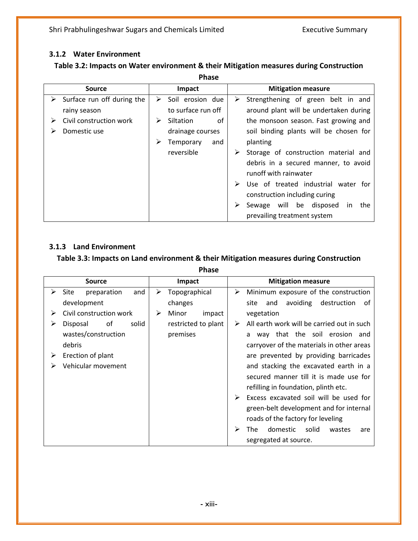#### **3.1.2 Water Environment**

#### **Table 3.2: Impacts on Water environment & their Mitigation measures during Construction**

| <b>Source</b>                   | Impact                | <b>Mitigation measure</b>                 |
|---------------------------------|-----------------------|-------------------------------------------|
| Surface run off during the<br>➤ | Soil erosion due<br>➤ | Strengthening of green belt in and<br>➤   |
| rainy season                    | to surface run off    | around plant will be undertaken during    |
| Civil construction work         | Siltation<br>οf<br>⋗  | the monsoon season. Fast growing and      |
| Domestic use                    | drainage courses      | soil binding plants will be chosen for    |
|                                 | Temporary<br>and<br>➤ | planting                                  |
|                                 | reversible            | Storage of construction material and<br>➤ |
|                                 |                       | debris in a secured manner, to avoid      |
|                                 |                       | runoff with rainwater                     |
|                                 |                       | Use of treated industrial water for       |
|                                 |                       | construction including curing             |
|                                 |                       | Sewage will be disposed<br>the<br>in.     |
|                                 |                       | prevailing treatment system               |

#### **3.1.3 Land Environment**

#### **Table 3.3: Impacts on Land environment & their Mitigation measures during Construction**

**Phase**

|   | <b>Source</b>              |   | Impact              |   | <b>Mitigation measure</b>                        |
|---|----------------------------|---|---------------------|---|--------------------------------------------------|
| ⋗ | and<br>Site<br>preparation | ➤ | Topographical       | ≻ | Minimum exposure of the construction             |
|   | development                |   | changes             |   | avoiding destruction<br>0f<br>site<br>and        |
|   | Civil construction work    | ➤ | Minor<br>impact     |   | vegetation                                       |
| ⋗ | of<br>solid<br>Disposal    |   | restricted to plant | ➤ | All earth work will be carried out in such       |
|   | wastes/construction        |   | premises            |   | way that the soil erosion and<br>a               |
|   | debris                     |   |                     |   | carryover of the materials in other areas        |
| ➤ | Erection of plant          |   |                     |   | are prevented by providing barricades            |
|   | Vehicular movement         |   |                     |   | and stacking the excavated earth in a            |
|   |                            |   |                     |   | secured manner till it is made use for           |
|   |                            |   |                     |   | refilling in foundation, plinth etc.             |
|   |                            |   |                     | ➤ | Excess excavated soil will be used for           |
|   |                            |   |                     |   | green-belt development and for internal          |
|   |                            |   |                     |   | roads of the factory for leveling                |
|   |                            |   |                     | ⋗ | <b>The</b><br>domestic<br>solid<br>wastes<br>are |
|   |                            |   |                     |   | segregated at source.                            |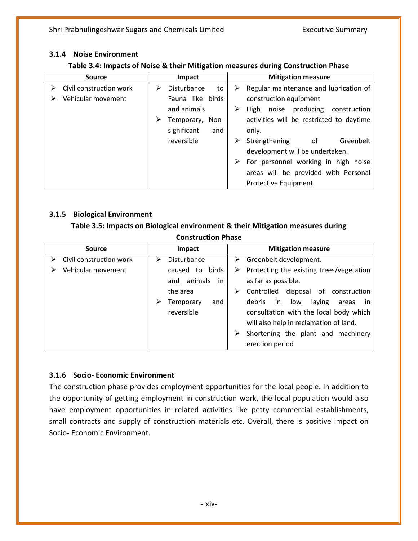#### **3.1.4 Noise Environment**

| Table 3.4: Impacts of Noise & their Mitigation measures during Construction Phase |  |
|-----------------------------------------------------------------------------------|--|
|-----------------------------------------------------------------------------------|--|

| <b>Source</b>           | Impact                 | <b>Mitigation measure</b>                   |
|-------------------------|------------------------|---------------------------------------------|
| Civil construction work | Disturbance<br>to<br>⋗ | Regular maintenance and lubrication of<br>➤ |
| Vehicular movement      | Fauna like birds       | construction equipment                      |
|                         | and animals            | noise producing construction<br>High        |
|                         | Temporary, Non-<br>⋗   | activities will be restricted to daytime    |
|                         | significant<br>and     | only.                                       |
|                         | reversible             | Greenbelt<br>Strengthening<br>of            |
|                         |                        | development will be undertaken.             |
|                         |                        | For personnel working in high noise<br>⋗    |
|                         |                        | areas will be provided with Personal        |
|                         |                        | Protective Equipment.                       |

#### **3.1.5 Biological Environment**

**Table 3.5: Impacts on Biological environment & their Mitigation measures during Construction Phase**

| <b>Source</b>           | Impact               | <b>Mitigation measure</b>                      |
|-------------------------|----------------------|------------------------------------------------|
| Civil construction work | Disturbance<br>⋗     | $\triangleright$ Greenbelt development.        |
| Vehicular movement      | caused to birds      | Protecting the existing trees/vegetation<br>➤  |
|                         | animals<br>in<br>and | as far as possible.                            |
|                         | the area             | Controlled disposal of construction<br>➤       |
|                         | and<br>Temporary     | debris<br>laying<br>in.<br>low<br>areas<br>in. |
|                         | reversible           | consultation with the local body which         |
|                         |                      | will also help in reclamation of land.         |
|                         |                      | Shortening the plant and machinery<br>➤        |
|                         |                      | erection period                                |

#### **3.1.6 Socio- Economic Environment**

The construction phase provides employment opportunities for the local people. In addition to the opportunity of getting employment in construction work, the local population would also have employment opportunities in related activities like petty commercial establishments, small contracts and supply of construction materials etc. Overall, there is positive impact on Socio- Economic Environment.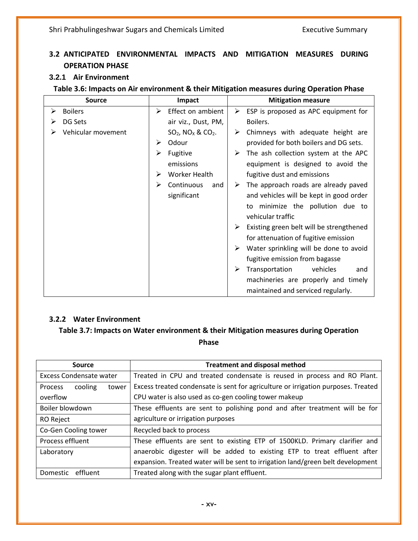### **3.2 ANTICIPATED ENVIRONMENTAL IMPACTS AND MITIGATION MEASURES DURING OPERATION PHASE**

#### **3.2.1 Air Environment**

#### **Table 3.6: Impacts on Air environment & their Mitigation measures during Operation Phase**

| <b>Source</b>       | Impact                                      | <b>Mitigation measure</b>                     |
|---------------------|---------------------------------------------|-----------------------------------------------|
| <b>Boilers</b><br>➤ | Effect on ambient<br>➤                      | ESP is proposed as APC equipment for<br>➤     |
| DG Sets             | air viz., Dust, PM,                         | Boilers.                                      |
| Vehicular movement  | $SO2$ , NO <sub>x</sub> & CO <sub>2</sub> . | Chimneys with adequate height are<br>➤        |
|                     | Odour<br>⋗                                  | provided for both boilers and DG sets.        |
|                     | Fugitive<br>➢                               | The ash collection system at the APC          |
|                     | emissions                                   | equipment is designed to avoid the            |
|                     | <b>Worker Health</b><br>⋗                   | fugitive dust and emissions                   |
|                     | Continuous<br>⋗<br>and                      | The approach roads are already paved<br>➤     |
|                     | significant                                 | and vehicles will be kept in good order       |
|                     |                                             | to minimize the pollution due to              |
|                     |                                             | vehicular traffic                             |
|                     |                                             | ➤<br>Existing green belt will be strengthened |
|                     |                                             | for attenuation of fugitive emission          |
|                     |                                             | Water sprinkling will be done to avoid        |
|                     |                                             | fugitive emission from bagasse                |
|                     |                                             | ➤<br>Transportation<br>vehicles<br>and        |
|                     |                                             | machineries are properly and timely           |
|                     |                                             | maintained and serviced regularly.            |

#### **3.2.2 Water Environment**

#### **Table 3.7: Impacts on Water environment & their Mitigation measures during Operation Phase**

| Source                             | <b>Treatment and disposal method</b>                                              |  |  |
|------------------------------------|-----------------------------------------------------------------------------------|--|--|
| <b>Excess Condensate water</b>     | Treated in CPU and treated condensate is reused in process and RO Plant.          |  |  |
| cooling<br>tower<br><b>Process</b> | Excess treated condensate is sent for agriculture or irrigation purposes. Treated |  |  |
| overflow                           | CPU water is also used as co-gen cooling tower makeup                             |  |  |
| Boiler blowdown                    | These effluents are sent to polishing pond and after treatment will be for        |  |  |
| RO Reject                          | agriculture or irrigation purposes                                                |  |  |
| Co-Gen Cooling tower               | Recycled back to process                                                          |  |  |
| Process effluent                   | These effluents are sent to existing ETP of 1500KLD. Primary clarifier and        |  |  |
| Laboratory                         | anaerobic digester will be added to existing ETP to treat effluent after          |  |  |
|                                    | expansion. Treated water will be sent to irrigation land/green belt development   |  |  |
| Domestic effluent                  | Treated along with the sugar plant effluent.                                      |  |  |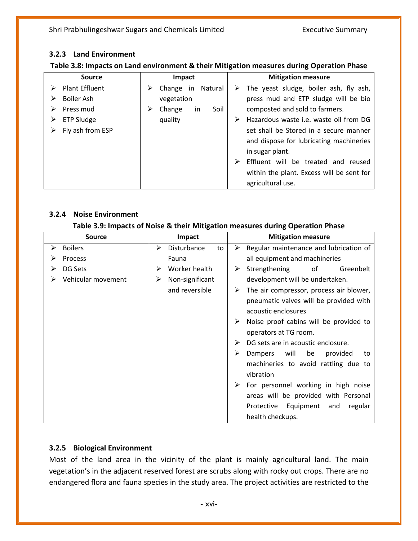#### **3.2.3 Land Environment**

#### **Table 3.8: Impacts on Land environment & their Mitigation measures during Operation Phase**

| <b>Source</b>                   | Impact                                | <b>Mitigation measure</b>                               |
|---------------------------------|---------------------------------------|---------------------------------------------------------|
| $\triangleright$ Plant Effluent | Natural<br>$\triangleright$ Change in | $\triangleright$ The yeast sludge, boiler ash, fly ash, |
| Boiler Ash                      | vegetation                            | press mud and ETP sludge will be bio                    |
| Press mud                       | Change<br>Soil<br><i>in</i>           | composted and sold to farmers.                          |
| ETP Sludge                      | quality                               | Hazardous waste i.e. waste oil from DG                  |
| Fly ash from ESP                |                                       | set shall be Stored in a secure manner                  |
|                                 |                                       | and dispose for lubricating machineries                 |
|                                 |                                       | in sugar plant.                                         |
|                                 |                                       | Effluent will be treated and reused                     |
|                                 |                                       | within the plant. Excess will be sent for               |
|                                 |                                       | agricultural use.                                       |

#### **3.2.4 Noise Environment**

#### **Table 3.9: Impacts of Noise & their Mitigation measures during Operation Phase**

|   | <b>Source</b>      |   | Impact          |    |   | <b>Mitigation measure</b>               |
|---|--------------------|---|-----------------|----|---|-----------------------------------------|
| ⋗ | <b>Boilers</b>     | ➤ | Disturbance     | to | ➤ | Regular maintenance and lubrication of  |
|   | Process            |   | Fauna           |    |   | all equipment and machineries           |
|   | DG Sets            | ⋗ | Worker health   |    | ➤ | Strengthening<br>of<br>Greenbelt        |
|   | Vehicular movement | ➤ | Non-significant |    |   | development will be undertaken.         |
|   |                    |   | and reversible  |    | ➤ | The air compressor, process air blower, |
|   |                    |   |                 |    |   | pneumatic valves will be provided with  |
|   |                    |   |                 |    |   | acoustic enclosures                     |
|   |                    |   |                 |    | ➤ | Noise proof cabins will be provided to  |
|   |                    |   |                 |    |   | operators at TG room.                   |
|   |                    |   |                 |    |   | DG sets are in acoustic enclosure.      |
|   |                    |   |                 |    | ➤ | will<br>be<br>Dampers<br>provided<br>to |
|   |                    |   |                 |    |   | machineries to avoid rattling due to    |
|   |                    |   |                 |    |   | vibration                               |
|   |                    |   |                 |    | ➤ | For personnel working in high noise     |
|   |                    |   |                 |    |   | areas will be provided with Personal    |
|   |                    |   |                 |    |   | Protective Equipment and<br>regular     |
|   |                    |   |                 |    |   | health checkups.                        |

#### **3.2.5 Biological Environment**

Most of the land area in the vicinity of the plant is mainly agricultural land. The main vegetation's in the adjacent reserved forest are scrubs along with rocky out crops. There are no endangered flora and fauna species in the study area. The project activities are restricted to the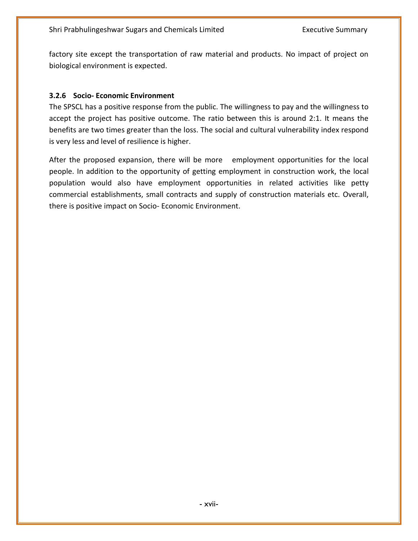factory site except the transportation of raw material and products. No impact of project on biological environment is expected.

#### **3.2.6 Socio- Economic Environment**

The SPSCL has a positive response from the public. The willingness to pay and the willingness to accept the project has positive outcome. The ratio between this is around 2:1. It means the benefits are two times greater than the loss. The social and cultural vulnerability index respond is very less and level of resilience is higher.

After the proposed expansion, there will be more employment opportunities for the local people. In addition to the opportunity of getting employment in construction work, the local population would also have employment opportunities in related activities like petty commercial establishments, small contracts and supply of construction materials etc. Overall, there is positive impact on Socio- Economic Environment.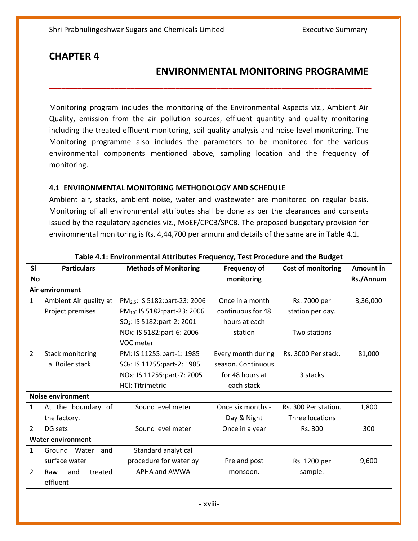### **ENVIRONMENTAL MONITORING PROGRAMME**

Monitoring program includes the monitoring of the Environmental Aspects viz., Ambient Air Quality, emission from the air pollution sources, effluent quantity and quality monitoring including the treated effluent monitoring, soil quality analysis and noise level monitoring. The Monitoring programme also includes the parameters to be monitored for the various environmental components mentioned above, sampling location and the frequency of monitoring.

**\_\_\_\_\_\_\_\_\_\_\_\_\_\_\_\_\_\_\_\_\_\_\_\_\_\_\_\_\_\_\_\_\_\_\_\_\_\_\_\_\_\_\_\_\_\_\_\_\_\_\_\_\_\_\_\_\_\_\_\_\_\_\_\_\_\_\_\_\_\_\_\_\_\_\_\_\_\_\_**

#### **4.1 ENVIRONMENTAL MONITORING METHODOLOGY AND SCHEDULE**

Ambient air, stacks, ambient noise, water and wastewater are monitored on regular basis. Monitoring of all environmental attributes shall be done as per the clearances and consents issued by the regulatory agencies viz., MoEF/CPCB/SPCB. The proposed budgetary provision for environmental monitoring is Rs. 4,44,700 per annum and details of the same are in Table 4.1.

| <b>SI</b>      | <b>Particulars</b>       | <b>Methods of Monitoring</b>              | <b>Frequency of</b> | Cost of monitoring   | <b>Amount in</b> |
|----------------|--------------------------|-------------------------------------------|---------------------|----------------------|------------------|
| <b>No</b>      |                          |                                           | monitoring          |                      | Rs./Annum        |
|                | Air environment          |                                           |                     |                      |                  |
| $\mathbf{1}$   | Ambient Air quality at   | PM <sub>2.5</sub> : IS 5182:part-23: 2006 | Once in a month     | Rs. 7000 per         | 3,36,000         |
|                | Project premises         | PM <sub>10</sub> : IS 5182:part-23: 2006  | continuous for 48   | station per day.     |                  |
|                |                          | SO <sub>2</sub> : IS 5182:part-2: 2001    | hours at each       |                      |                  |
|                |                          | NOx: IS 5182:part-6: 2006                 | station             | Two stations         |                  |
|                |                          | VOC meter                                 |                     |                      |                  |
| $\overline{2}$ | Stack monitoring         | PM: IS 11255:part-1: 1985                 | Every month during  | Rs. 3000 Per stack.  | 81,000           |
|                | a. Boiler stack          | SO <sub>2</sub> : IS 11255:part-2: 1985   | season. Continuous  |                      |                  |
|                |                          | NOx: IS 11255:part-7: 2005                | for 48 hours at     | 3 stacks             |                  |
|                |                          | <b>HCI: Titrimetric</b>                   | each stack          |                      |                  |
|                | <b>Noise environment</b> |                                           |                     |                      |                  |
| 1              | At the boundary of       | Sound level meter                         | Once six months -   | Rs. 300 Per station. | 1,800            |
|                | the factory.             |                                           | Day & Night         | Three locations      |                  |
| $\overline{2}$ | DG sets                  | Sound level meter                         | Once in a year      | Rs. 300              | 300              |
|                | <b>Water environment</b> |                                           |                     |                      |                  |
| $\mathbf{1}$   | Ground<br>Water<br>and   | Standard analytical                       |                     |                      |                  |
|                | surface water            | procedure for water by                    | Pre and post        | Rs. 1200 per         | 9,600            |
| $\overline{2}$ | treated<br>and<br>Raw    | APHA and AWWA                             | monsoon.            | sample.              |                  |
|                | effluent                 |                                           |                     |                      |                  |

#### **Table 4.1: Environmental Attributes Frequency, Test Procedure and the Budget**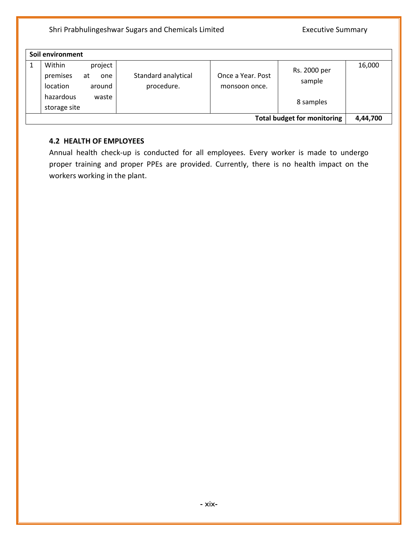| Soil environment                                                                                       |                                   |                                    |                                     |        |  |
|--------------------------------------------------------------------------------------------------------|-----------------------------------|------------------------------------|-------------------------------------|--------|--|
| Within<br>project<br>premises<br>at<br>one<br>around<br>location<br>hazardous<br>waste<br>storage site | Standard analytical<br>procedure. | Once a Year, Post<br>monsoon once. | Rs. 2000 per<br>sample<br>8 samples | 16,000 |  |
| <b>Total budget for monitoring</b><br>4,44,700                                                         |                                   |                                    |                                     |        |  |

#### **4.2 HEALTH OF EMPLOYEES**

Annual health check-up is conducted for all employees. Every worker is made to undergo proper training and proper PPEs are provided. Currently, there is no health impact on the workers working in the plant.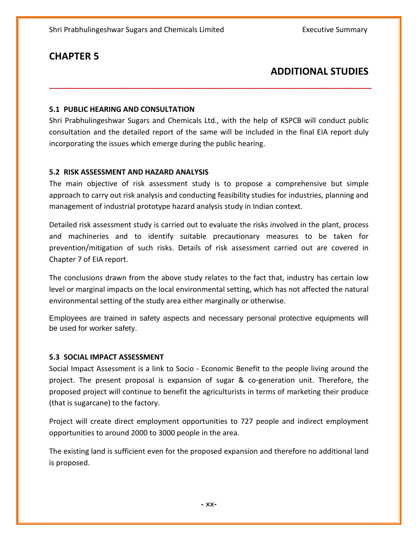### **ADDITIONAL STUDIES**

#### **5.1 PUBLIC HEARING AND CONSULTATION**

Shri Prabhulingeshwar Sugars and Chemicals Ltd., with the help of KSPCB will conduct public consultation and the detailed report of the same will be included in the final EIA report duly incorporating the issues which emerge during the public hearing.

**\_\_\_\_\_\_\_\_\_\_\_\_\_\_\_\_\_\_\_\_\_\_\_\_\_\_\_\_\_\_\_\_\_\_\_\_\_\_\_\_\_\_\_\_\_\_\_\_\_\_\_\_\_\_\_\_\_\_\_\_\_\_\_\_\_\_\_\_\_\_\_\_\_\_\_\_\_\_\_**

#### **5.2 RISK ASSESSMENT AND HAZARD ANALYSIS**

The main objective of risk assessment study is to propose a comprehensive but simple approach to carry out risk analysis and conducting feasibility studies for industries, planning and management of industrial prototype hazard analysis study in Indian context.

Detailed risk assessment study is carried out to evaluate the risks involved in the plant, process and machineries and to identify suitable precautionary measures to be taken for prevention/mitigation of such risks. Details of risk assessment carried out are covered in Chapter 7 of EIA report.

The conclusions drawn from the above study relates to the fact that, industry has certain low level or marginal impacts on the local environmental setting, which has not affected the natural environmental setting of the study area either marginally or otherwise.

Employees are trained in safety aspects and necessary personal protective equipments will be used for worker safety.

#### **5.3 SOCIAL IMPACT ASSESSMENT**

Social Impact Assessment is a link to Socio - Economic Benefit to the people living around the project. The present proposal is expansion of sugar & co-generation unit. Therefore, the proposed project will continue to benefit the agriculturists in terms of marketing their produce (that is sugarcane) to the factory.

Project will create direct employment opportunities to 727 people and indirect employment opportunities to around 2000 to 3000 people in the area.

The existing land is sufficient even for the proposed expansion and therefore no additional land is proposed.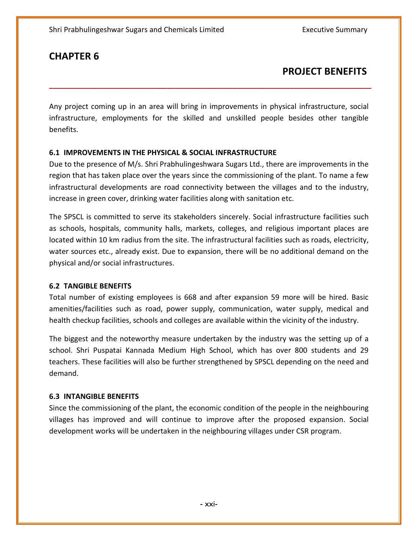### **PROJECT BENEFITS**

Any project coming up in an area will bring in improvements in physical infrastructure, social infrastructure, employments for the skilled and unskilled people besides other tangible benefits.

**\_\_\_\_\_\_\_\_\_\_\_\_\_\_\_\_\_\_\_\_\_\_\_\_\_\_\_\_\_\_\_\_\_\_\_\_\_\_\_\_\_\_\_\_\_\_\_\_\_\_\_\_\_\_\_\_\_\_\_\_\_\_\_\_\_\_\_\_\_\_\_\_\_\_\_\_\_\_\_**

#### **6.1 IMPROVEMENTS IN THE PHYSICAL & SOCIAL INFRASTRUCTURE**

Due to the presence of M/s. Shri Prabhulingeshwara Sugars Ltd., there are improvements in the region that has taken place over the years since the commissioning of the plant. To name a few infrastructural developments are road connectivity between the villages and to the industry, increase in green cover, drinking water facilities along with sanitation etc.

The SPSCL is committed to serve its stakeholders sincerely. Social infrastructure facilities such as schools, hospitals, community halls, markets, colleges, and religious important places are located within 10 km radius from the site. The infrastructural facilities such as roads, electricity, water sources etc., already exist. Due to expansion, there will be no additional demand on the physical and/or social infrastructures.

#### **6.2 TANGIBLE BENEFITS**

Total number of existing employees is 668 and after expansion 59 more will be hired. Basic amenities/facilities such as road, power supply, communication, water supply, medical and health checkup facilities, schools and colleges are available within the vicinity of the industry.

The biggest and the noteworthy measure undertaken by the industry was the setting up of a school. Shri Puspatai Kannada Medium High School, which has over 800 students and 29 teachers. These facilities will also be further strengthened by SPSCL depending on the need and demand.

#### **6.3 INTANGIBLE BENEFITS**

Since the commissioning of the plant, the economic condition of the people in the neighbouring villages has improved and will continue to improve after the proposed expansion. Social development works will be undertaken in the neighbouring villages under CSR program.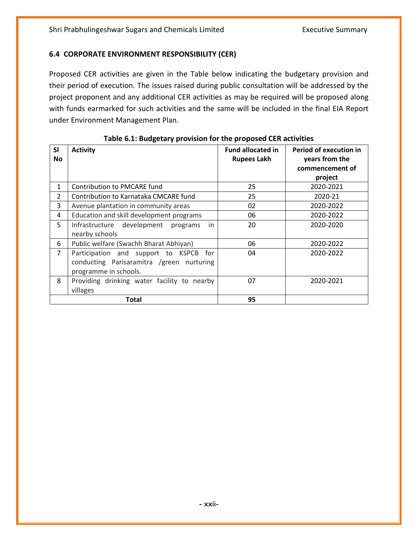#### **6.4 CORPORATE ENVIRONMENT RESPONSIBILITY (CER)**

Proposed CER activities are given in the Table below indicating the budgetary provision and their period of execution. The issues raised during public consultation will be addressed by the project proponent and any additional CER activities as may be required will be proposed along with funds earmarked for such activities and the same will be included in the final EIA Report under Environment Management Plan.

| <b>SI</b>      | <b>Activity</b>                             | <b>Fund allocated in</b> | <b>Period of execution in</b> |
|----------------|---------------------------------------------|--------------------------|-------------------------------|
| <b>No</b>      |                                             | <b>Rupees Lakh</b>       | years from the                |
|                |                                             |                          | commencement of               |
|                |                                             |                          | project                       |
| 1              | Contribution to PMCARE fund                 | 25                       | 2020-2021                     |
| $\overline{2}$ | Contribution to Karnataka CMCARE fund       | 25                       | 2020-21                       |
| 3              | Avenue plantation in community areas        | 02                       | 2020-2022                     |
| 4              | Education and skill development programs    | 06                       | 2020-2022                     |
| 5              | Infrastructure development programs<br>in   | 20                       | 2020-2020                     |
|                | nearby schools                              |                          |                               |
| 6              | Public welfare (Swachh Bharat Abhiyan)      | 06                       | 2020-2022                     |
| 7              | Participation and support to KSPCB for      | 04                       | 2020-2022                     |
|                | conducting Parisaramitra /green nurturing   |                          |                               |
|                | programme in schools.                       |                          |                               |
| 8              | Providing drinking water facility to nearby | 07                       | 2020-2021                     |
|                | villages                                    |                          |                               |
|                | Total                                       | 95                       |                               |

|  | Table 6.1: Budgetary provision for the proposed CER activities |
|--|----------------------------------------------------------------|
|--|----------------------------------------------------------------|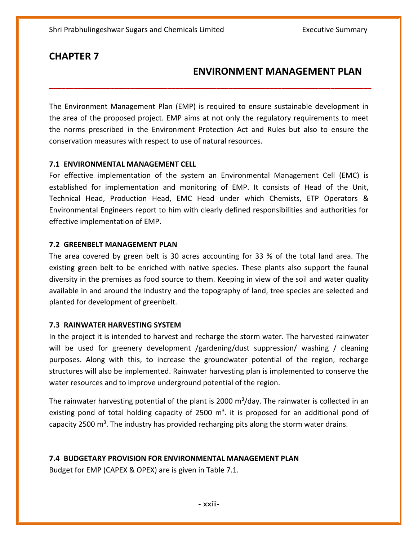### **ENVIRONMENT MANAGEMENT PLAN**

The Environment Management Plan (EMP) is required to ensure sustainable development in the area of the proposed project. EMP aims at not only the regulatory requirements to meet the norms prescribed in the Environment Protection Act and Rules but also to ensure the conservation measures with respect to use of natural resources.

**\_\_\_\_\_\_\_\_\_\_\_\_\_\_\_\_\_\_\_\_\_\_\_\_\_\_\_\_\_\_\_\_\_\_\_\_\_\_\_\_\_\_\_\_\_\_\_\_\_\_\_\_\_\_\_\_\_\_\_\_\_\_\_\_\_\_\_\_\_\_\_\_\_\_\_\_\_\_\_**

#### **7.1 ENVIRONMENTAL MANAGEMENT CELL**

For effective implementation of the system an Environmental Management Cell (EMC) is established for implementation and monitoring of EMP. It consists of Head of the Unit, Technical Head, Production Head, EMC Head under which Chemists, ETP Operators & Environmental Engineers report to him with clearly defined responsibilities and authorities for effective implementation of EMP.

#### **7.2 GREENBELT MANAGEMENT PLAN**

The area covered by green belt is 30 acres accounting for 33 % of the total land area. The existing green belt to be enriched with native species. These plants also support the faunal diversity in the premises as food source to them. Keeping in view of the soil and water quality available in and around the industry and the topography of land, tree species are selected and planted for development of greenbelt.

#### **7.3 RAINWATER HARVESTING SYSTEM**

In the project it is intended to harvest and recharge the storm water. The harvested rainwater will be used for greenery development /gardening/dust suppression/ washing / cleaning purposes. Along with this, to increase the groundwater potential of the region, recharge structures will also be implemented. Rainwater harvesting plan is implemented to conserve the water resources and to improve underground potential of the region.

The rainwater harvesting potential of the plant is 2000 m<sup>3</sup>/day. The rainwater is collected in an existing pond of total holding capacity of 2500  $m<sup>3</sup>$ . it is proposed for an additional pond of capacity 2500 m<sup>3</sup>. The industry has provided recharging pits along the storm water drains.

#### **7.4 BUDGETARY PROVISION FOR ENVIRONMENTAL MANAGEMENT PLAN**

Budget for EMP (CAPEX & OPEX) are is given in Table 7.1.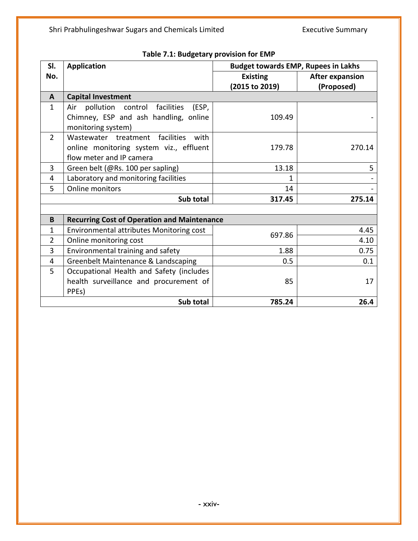| SI.            | <b>Application</b>                                 | <b>Budget towards EMP, Rupees in Lakhs</b> |                        |  |
|----------------|----------------------------------------------------|--------------------------------------------|------------------------|--|
| No.            |                                                    | <b>Existing</b>                            | <b>After expansion</b> |  |
|                |                                                    | (2015 to 2019)                             | (Proposed)             |  |
| $\mathbf{A}$   | <b>Capital Investment</b>                          |                                            |                        |  |
| $\mathbf{1}$   | Air pollution control facilities<br>(ESP,          |                                            |                        |  |
|                | Chimney, ESP and ash handling, online              | 109.49                                     |                        |  |
|                | monitoring system)                                 |                                            |                        |  |
| $\overline{2}$ | facilities<br>Wastewater treatment<br>with         |                                            |                        |  |
|                | online monitoring system viz., effluent            | 179.78                                     | 270.14                 |  |
|                | flow meter and IP camera                           |                                            |                        |  |
| 3              | Green belt (@Rs. 100 per sapling)                  | 13.18                                      | 5                      |  |
| 4              | Laboratory and monitoring facilities               | 1                                          |                        |  |
| 5              | Online monitors                                    | 14                                         |                        |  |
|                | Sub total                                          | 317.45                                     | 275.14                 |  |
|                |                                                    |                                            |                        |  |
| B              | <b>Recurring Cost of Operation and Maintenance</b> |                                            |                        |  |
| $\mathbf{1}$   | Environmental attributes Monitoring cost           | 4.45                                       |                        |  |
| $\overline{2}$ | Online monitoring cost                             | 697.86                                     | 4.10                   |  |
| 3              | Environmental training and safety                  | 1.88                                       | 0.75                   |  |
| 4              | Greenbelt Maintenance & Landscaping                | 0.5                                        | 0.1                    |  |
| 5              | Occupational Health and Safety (includes           |                                            |                        |  |
|                | health surveillance and procurement of             | 85                                         | 17                     |  |
|                | PPE <sub>s</sub> )                                 |                                            |                        |  |
|                | Sub total                                          | 785.24                                     | 26.4                   |  |

**Table 7.1: Budgetary provision for EMP**